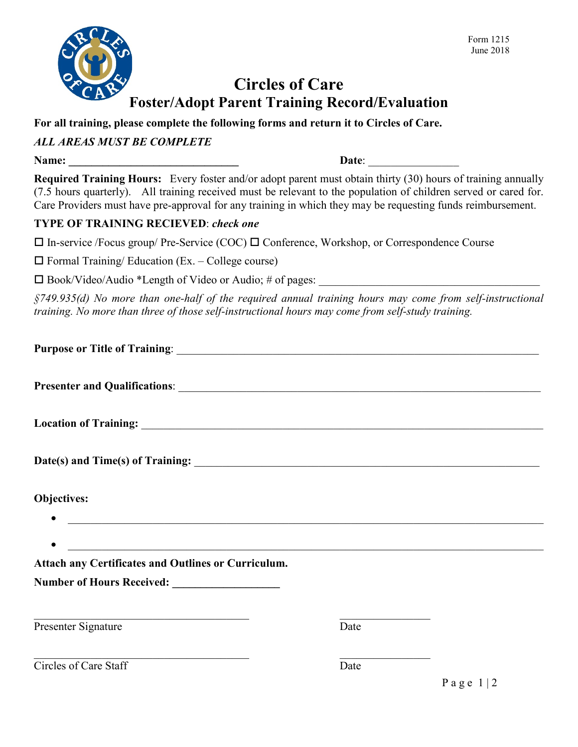

## **Circles of Care Foster/Adopt Parent Training Record/Evaluation**

**For all training, please complete the following forms and return it to Circles of Care.**

#### *ALL AREAS MUST BE COMPLETE*

**Name: \_\_\_\_\_\_\_\_\_\_\_\_\_\_\_\_\_\_\_\_\_\_\_\_\_\_\_\_\_\_ Date**: \_\_\_\_\_\_\_\_\_\_\_\_\_\_\_\_

**Required Training Hours:** Every foster and/or adopt parent must obtain thirty (30) hours of training annually (7.5 hours quarterly). All training received must be relevant to the population of children served or cared for. Care Providers must have pre-approval for any training in which they may be requesting funds reimbursement.

#### **TYPE OF TRAINING RECIEVED**: *check one*

 $\Box$  In-service /Focus group/ Pre-Service (COC)  $\Box$  Conference, Workshop, or Correspondence Course

 $\Box$  Formal Training/ Education (Ex. – College course)

 $\square$  Book/Video/Audio \*Length of Video or Audio; # of pages:

*§749.935(d) No more than one-half of the required annual training hours may come from self-instructional training. No more than three of those self-instructional hours may come from self-study training.*

| <b>Objectives:</b><br><u> 1989 - Johann Barbara, martin amerikan basal dan berasal dalam basal dalam basal dalam basal dalam basal dala</u> |      |                               |
|---------------------------------------------------------------------------------------------------------------------------------------------|------|-------------------------------|
| <u> 1989 - Johann Barnett, fransk politiker (d. 1989)</u><br>Attach any Certificates and Outlines or Curriculum.                            |      |                               |
|                                                                                                                                             |      |                               |
| Presenter Signature                                                                                                                         | Date |                               |
| Circles of Care Staff                                                                                                                       | Date | $P$ a $\sigma$ $\approx$ 1.12 |